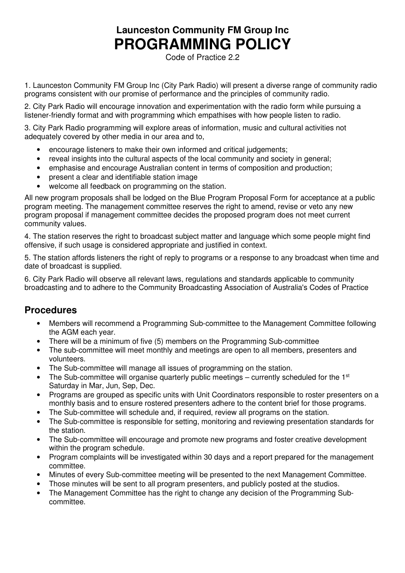# **Launceston Community FM Group Inc PROGRAMMING POLICY**

Code of Practice 2.2

1. Launceston Community FM Group Inc (City Park Radio) will present a diverse range of community radio programs consistent with our promise of performance and the principles of community radio.

2. City Park Radio will encourage innovation and experimentation with the radio form while pursuing a listener-friendly format and with programming which empathises with how people listen to radio.

3. City Park Radio programming will explore areas of information, music and cultural activities not adequately covered by other media in our area and to,

- encourage listeners to make their own informed and critical judgements;
- reveal insights into the cultural aspects of the local community and society in general;
- emphasise and encourage Australian content in terms of composition and production;
- present a clear and identifiable station image
- welcome all feedback on programming on the station.

All new program proposals shall be lodged on the Blue Program Proposal Form for acceptance at a public program meeting. The management committee reserves the right to amend, revise or veto any new program proposal if management committee decides the proposed program does not meet current community values.

4. The station reserves the right to broadcast subject matter and language which some people might find offensive, if such usage is considered appropriate and justified in context.

5. The station affords listeners the right of reply to programs or a response to any broadcast when time and date of broadcast is supplied.

6. City Park Radio will observe all relevant laws, regulations and standards applicable to community broadcasting and to adhere to the Community Broadcasting Association of Australia's Codes of Practice

## **Procedures**

- Members will recommend a Programming Sub-committee to the Management Committee following the AGM each year.
- There will be a minimum of five (5) members on the Programming Sub-committee
- The sub-committee will meet monthly and meetings are open to all members, presenters and volunteers.
- The Sub-committee will manage all issues of programming on the station.
- The Sub-committee will organise quarterly public meetings currently scheduled for the  $1<sup>st</sup>$ Saturday in Mar, Jun, Sep, Dec.
- Programs are grouped as specific units with Unit Coordinators responsible to roster presenters on a monthly basis and to ensure rostered presenters adhere to the content brief for those programs.
- The Sub-committee will schedule and, if required, review all programs on the station.
- The Sub-committee is responsible for setting, monitoring and reviewing presentation standards for the station.
- The Sub-committee will encourage and promote new programs and foster creative development within the program schedule.
- Program complaints will be investigated within 30 days and a report prepared for the management committee.
- Minutes of every Sub-committee meeting will be presented to the next Management Committee.
- Those minutes will be sent to all program presenters, and publicly posted at the studios.
- The Management Committee has the right to change any decision of the Programming Subcommittee.